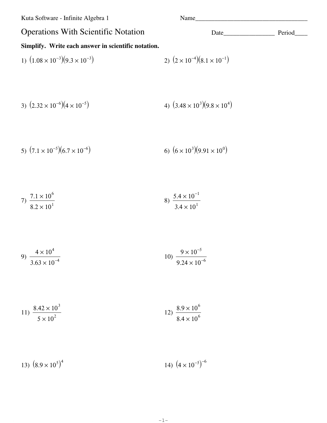Kuta Software - Infinite Algebra 1 Name\_\_\_\_\_\_\_\_\_\_\_\_\_\_\_\_\_\_\_\_\_\_\_\_\_\_\_\_\_\_\_\_\_\_\_ Operations With Scientific Notation Date\_\_\_\_\_\_\_\_\_\_\_\_\_\_\_\_ Period\_\_\_\_\_ **Simplify. Write each answer in scientific notation.** 1)  $(1.08 \times 10^{-3})(9.3 \times 10^{-3})$  2)  $(2 \times 10^{-4})(8.1 \times 10^{-1})$ 3)  $(2.32 \times 10^{-6})(4 \times 10^{-5})$  $)(9.8 \times 10^{4})$ 5)  $(7.1 \times 10^{-5})(6.7 \times 10^{-6})$  $)(9.91 \times 10^{0})$ 7)  $7.1 \times 10^{6}$  $8.2 \times 10^{1}$ 8)  $5.4 \times 10^{-1}$  $3.4 \times 10^{1}$ 

9) 
$$
\frac{4 \times 10^4}{3.63 \times 10^{-4}}
$$
 10) 
$$
\frac{9 \times 10^{-5}}{9.24 \times 10^{-6}}
$$

11) 
$$
\frac{8.42 \times 10^3}{5 \times 10^2}
$$
12) 
$$
\frac{8.9 \times 10^6}{8.4 \times 10^6}
$$

13)  $(8.9 \times 10^5)^4$ 14)  $(4 \times 10^{-5})^{-6}$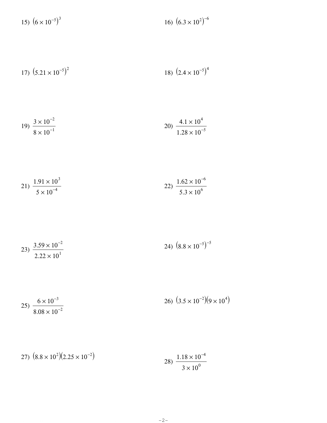15)  $(6 \times 10^{-5})^3$ 16)  $(6.3 \times 10^2)^{-6}$ 

17) 
$$
(5.21 \times 10^{-5})^2
$$
 18)  $(2.4 \times 10^{-5})^4$ 

$$
19) \frac{3 \times 10^{-2}}{8 \times 10^{-1}}
$$
  
20) 
$$
\frac{4.1 \times 10^{4}}{1.28 \times 10^{-5}}
$$

$$
21) \frac{1.91 \times 10^3}{5 \times 10^{-4}}
$$
  

$$
22) \frac{1.62 \times 10^{-6}}{5.3 \times 10^6}
$$

$$
23) \frac{3.59 \times 10^{-2}}{2.22 \times 10^{1}}
$$
 
$$
24) \left(8.8 \times 10^{-5}\right)^{-5}
$$

$$
25)\frac{6 \times 10^{-3}}{8.08 \times 10^{-2}}
$$
\n
$$
26)\left(3.5 \times 10^{-2}\right)\left(9 \times 10^{4}\right)
$$

27) 
$$
(8.8 \times 10^2)(2.25 \times 10^{-2})
$$
  
28)  $\frac{1.18 \times 10^{-4}}{3 \times 10^0}$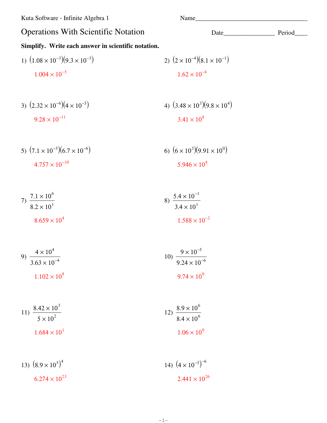Kuta Software - Infinite Algebra 1

## Name